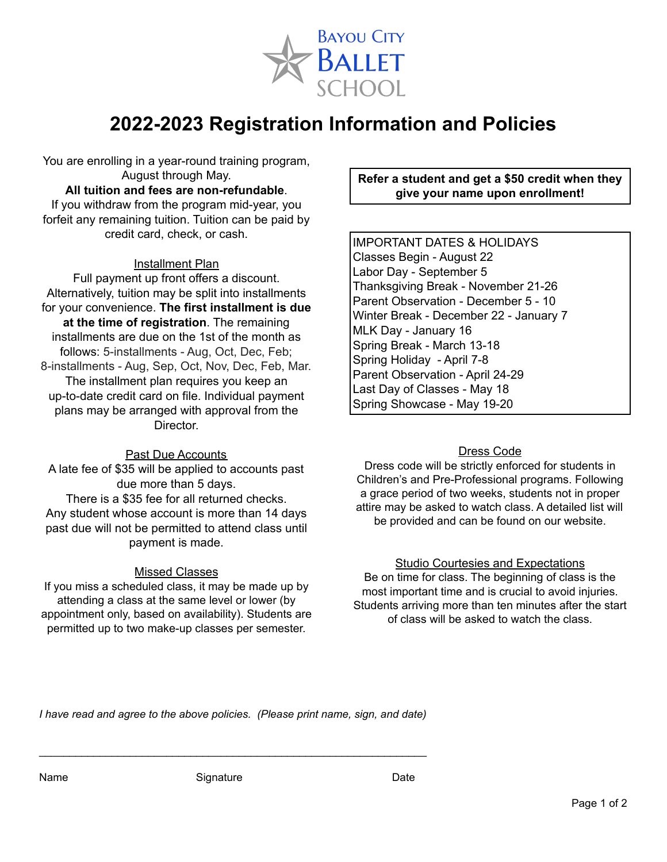

# **2022-2023 Registration Information and Policies**

You are enrolling in a year-round training program, August through May.

#### **All tuition and fees are non-refundable**.

If you withdraw from the program mid-year, you forfeit any remaining tuition. Tuition can be paid by credit card, check, or cash.

#### Installment Plan

Full payment up front offers a discount. Alternatively, tuition may be split into installments for your convenience. **The first installment is due at the time of registration**. The remaining installments are due on the 1st of the month as follows: 5-installments - Aug, Oct, Dec, Feb; 8-installments - Aug, Sep, Oct, Nov, Dec, Feb, Mar. The installment plan requires you keep an up-to-date credit card on file. Individual payment plans may be arranged with approval from the Director.

#### Past Due Accounts

A late fee of \$35 will be applied to accounts past due more than 5 days. There is a \$35 fee for all returned checks. Any student whose account is more than 14 days past due will not be permitted to attend class until payment is made.

#### Missed Classes

If you miss a scheduled class, it may be made up by attending a class at the same level or lower (by appointment only, based on availability). Students are permitted up to two make-up classes per semester.

# **Refer a student and get a \$50 credit when they give your name upon enrollment!**

IMPORTANT DATES & HOLIDAYS Classes Begin - August 22 Labor Day - September 5 Thanksgiving Break - November 21-26 Parent Observation - December 5 - 10 Winter Break - December 22 - January 7 MLK Day - January 16 Spring Break - March 13-18 Spring Holiday - April 7-8 Parent Observation - April 24-29 Last Day of Classes - May 18 Spring Showcase - May 19-20

## Dress Code

Dress code will be strictly enforced for students in Children's and Pre-Professional programs. Following a grace period of two weeks, students not in proper attire may be asked to watch class. A detailed list will be provided and can be found on our website.

## Studio Courtesies and Expectations

Be on time for class. The beginning of class is the most important time and is crucial to avoid injuries. Students arriving more than ten minutes after the start of class will be asked to watch the class.

*I have read and agree to the above policies. (Please print name, sign, and date)*

 $\mathcal{L}_\text{max}$  , and the contribution of the contribution of the contribution of the contribution of the contribution of the contribution of the contribution of the contribution of the contribution of the contribution of t